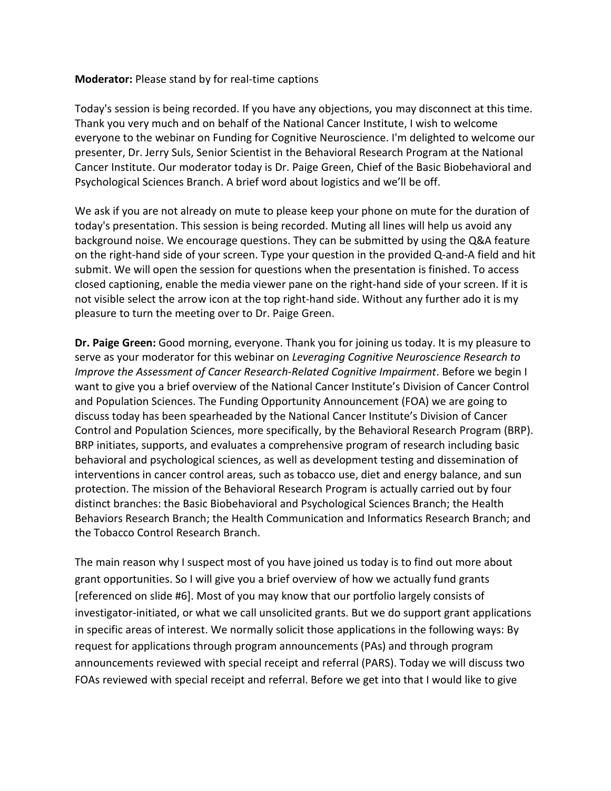## **Moderator:** Please stand by for real-time captions

Today's session is being recorded. If you have any objections, you may disconnect at this time. Thank you very much and on behalf of the National Cancer Institute, I wish to welcome everyone to the webinar on Funding for Cognitive Neuroscience. I'm delighted to welcome our presenter, Dr. Jerry Suls, Senior Scientist in the Behavioral Research Program at the National Cancer Institute. Our moderator today is Dr. Paige Green, Chief of the Basic Biobehavioral and Psychological Sciences Branch. A brief word about logistics and we'll be off.

We ask if you are not already on mute to please keep your phone on mute for the duration of today's presentation. This session is being recorded. Muting all lines will help us avoid any background noise. We encourage questions. They can be submitted by using the Q&A feature on the right-hand side of your screen. Type your question in the provided Q-and-A field and hit submit. We will open the session for questions when the presentation is finished. To access closed captioning, enable the media viewer pane on the right-hand side of your screen. If it is not visible select the arrow icon at the top right-hand side. Without any further ado it is my pleasure to turn the meeting over to Dr. Paige Green.

**Dr. Paige Green:** Good morning, everyone. Thank you for joining us today. It is my pleasure to serve as your moderator for this webinar on *Leveraging Cognitive Neuroscience Research to Improve the Assessment of Cancer Research-Related Cognitive Impairment*. Before we begin I want to give you a brief overview of the National Cancer Institute's Division of Cancer Control and Population Sciences. The Funding Opportunity Announcement (FOA) we are going to discuss today has been spearheaded by the National Cancer Institute's Division of Cancer Control and Population Sciences, more specifically, by the Behavioral Research Program (BRP). BRP initiates, supports, and evaluates a comprehensive program of research including basic behavioral and psychological sciences, as well as development testing and dissemination of interventions in cancer control areas, such as tobacco use, diet and energy balance, and sun protection. The mission of the Behavioral Research Program is actually carried out by four distinct branches: the Basic Biobehavioral and Psychological Sciences Branch; the Health Behaviors Research Branch; the Health Communication and Informatics Research Branch; and the Tobacco Control Research Branch.

The main reason why I suspect most of you have joined us today is to find out more about grant opportunities. So I will give you a brief overview of how we actually fund grants [referenced on slide #6]. Most of you may know that our portfolio largely consists of investigator-initiated, or what we call unsolicited grants. But we do support grant applications in specific areas of interest. We normally solicit those applications in the following ways: By request for applications through program announcements (PAs) and through program announcements reviewed with special receipt and referral (PARS). Today we will discuss two FOAs reviewed with special receipt and referral. Before we get into that I would like to give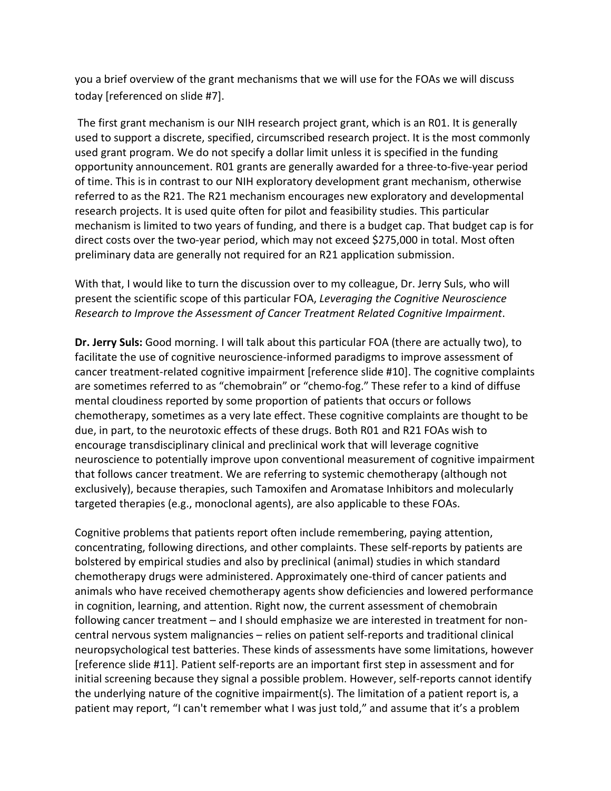you a brief overview of the grant mechanisms that we will use for the FOAs we will discuss today [referenced on slide #7].

The first grant mechanism is our NIH research project grant, which is an R01. It is generally used to support a discrete, specified, circumscribed research project. It is the most commonly used grant program. We do not specify a dollar limit unless it is specified in the funding opportunity announcement. R01 grants are generally awarded for a three-to-five-year period of time. This is in contrast to our NIH exploratory development grant mechanism, otherwise referred to as the R21. The R21 mechanism encourages new exploratory and developmental research projects. It is used quite often for pilot and feasibility studies. This particular mechanism is limited to two years of funding, and there is a budget cap. That budget cap is for direct costs over the two-year period, which may not exceed \$275,000 in total. Most often preliminary data are generally not required for an R21 application submission.

With that, I would like to turn the discussion over to my colleague, Dr. Jerry Suls, who will present the scientific scope of this particular FOA, *Leveraging the Cognitive Neuroscience Research to Improve the Assessment of Cancer Treatment Related Cognitive Impairment*.

**Dr. Jerry Suls:** Good morning. I will talk about this particular FOA (there are actually two), to facilitate the use of cognitive neuroscience-informed paradigms to improve assessment of cancer treatment-related cognitive impairment [reference slide #10]. The cognitive complaints are sometimes referred to as "chemobrain" or "chemo-fog." These refer to a kind of diffuse mental cloudiness reported by some proportion of patients that occurs or follows chemotherapy, sometimes as a very late effect. These cognitive complaints are thought to be due, in part, to the neurotoxic effects of these drugs. Both R01 and R21 FOAs wish to encourage transdisciplinary clinical and preclinical work that will leverage cognitive neuroscience to potentially improve upon conventional measurement of cognitive impairment that follows cancer treatment. We are referring to systemic chemotherapy (although not exclusively), because therapies, such Tamoxifen and Aromatase Inhibitors and molecularly targeted therapies (e.g., monoclonal agents), are also applicable to these FOAs.

Cognitive problems that patients report often include remembering, paying attention, concentrating, following directions, and other complaints. These self-reports by patients are bolstered by empirical studies and also by preclinical (animal) studies in which standard chemotherapy drugs were administered. Approximately one-third of cancer patients and animals who have received chemotherapy agents show deficiencies and lowered performance in cognition, learning, and attention. Right now, the current assessment of chemobrain following cancer treatment – and I should emphasize we are interested in treatment for noncentral nervous system malignancies – relies on patient self-reports and traditional clinical neuropsychological test batteries. These kinds of assessments have some limitations, however [reference slide #11]. Patient self-reports are an important first step in assessment and for initial screening because they signal a possible problem. However, self-reports cannot identify the underlying nature of the cognitive impairment(s). The limitation of a patient report is, a patient may report, "I can't remember what I was just told," and assume that it's a problem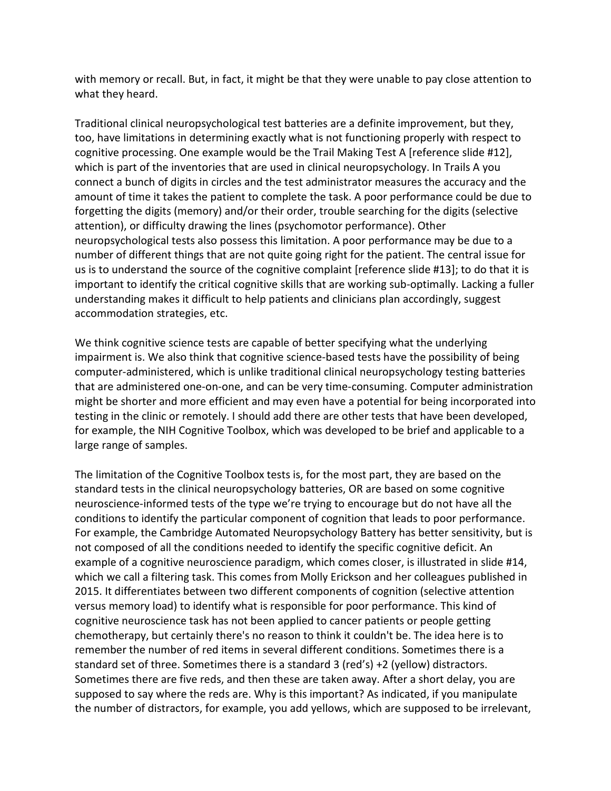with memory or recall. But, in fact, it might be that they were unable to pay close attention to what they heard.

Traditional clinical neuropsychological test batteries are a definite improvement, but they, too, have limitations in determining exactly what is not functioning properly with respect to cognitive processing. One example would be the Trail Making Test A [reference slide #12], which is part of the inventories that are used in clinical neuropsychology. In Trails A you connect a bunch of digits in circles and the test administrator measures the accuracy and the amount of time it takes the patient to complete the task. A poor performance could be due to forgetting the digits (memory) and/or their order, trouble searching for the digits (selective attention), or difficulty drawing the lines (psychomotor performance). Other neuropsychological tests also possess this limitation. A poor performance may be due to a number of different things that are not quite going right for the patient. The central issue for us is to understand the source of the cognitive complaint [reference slide #13]; to do that it is important to identify the critical cognitive skills that are working sub-optimally. Lacking a fuller understanding makes it difficult to help patients and clinicians plan accordingly, suggest accommodation strategies, etc.

We think cognitive science tests are capable of better specifying what the underlying impairment is. We also think that cognitive science-based tests have the possibility of being computer-administered, which is unlike traditional clinical neuropsychology testing batteries that are administered one-on-one, and can be very time-consuming. Computer administration might be shorter and more efficient and may even have a potential for being incorporated into testing in the clinic or remotely. I should add there are other tests that have been developed, for example, the NIH Cognitive Toolbox, which was developed to be brief and applicable to a large range of samples.

The limitation of the Cognitive Toolbox tests is, for the most part, they are based on the standard tests in the clinical neuropsychology batteries, OR are based on some cognitive neuroscience-informed tests of the type we're trying to encourage but do not have all the conditions to identify the particular component of cognition that leads to poor performance. For example, the Cambridge Automated Neuropsychology Battery has better sensitivity, but is not composed of all the conditions needed to identify the specific cognitive deficit. An example of a cognitive neuroscience paradigm, which comes closer, is illustrated in slide #14, which we call a filtering task. This comes from Molly Erickson and her colleagues published in 2015. It differentiates between two different components of cognition (selective attention versus memory load) to identify what is responsible for poor performance. This kind of cognitive neuroscience task has not been applied to cancer patients or people getting chemotherapy, but certainly there's no reason to think it couldn't be. The idea here is to remember the number of red items in several different conditions. Sometimes there is a standard set of three. Sometimes there is a standard 3 (red's) +2 (yellow) distractors. Sometimes there are five reds, and then these are taken away. After a short delay, you are supposed to say where the reds are. Why is this important? As indicated, if you manipulate the number of distractors, for example, you add yellows, which are supposed to be irrelevant,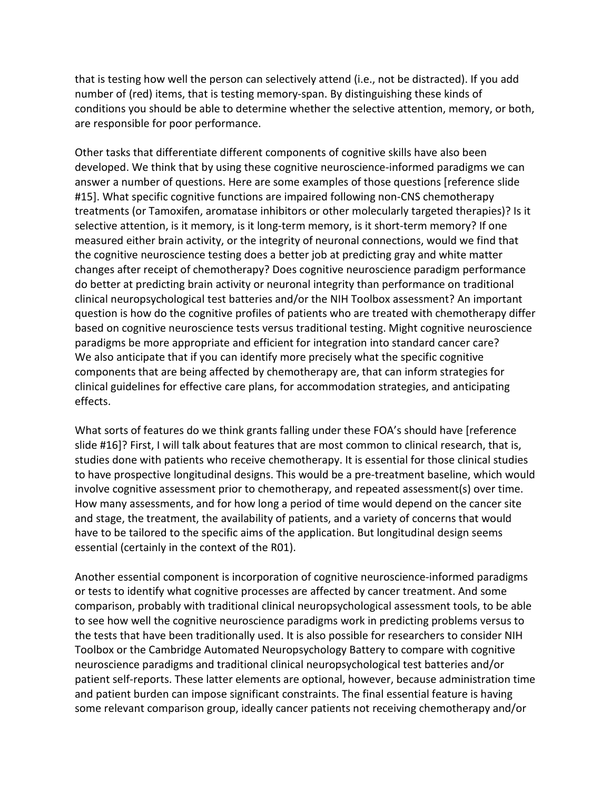that is testing how well the person can selectively attend (i.e., not be distracted). If you add number of (red) items, that is testing memory-span. By distinguishing these kinds of conditions you should be able to determine whether the selective attention, memory, or both, are responsible for poor performance.

Other tasks that differentiate different components of cognitive skills have also been developed. We think that by using these cognitive neuroscience-informed paradigms we can answer a number of questions. Here are some examples of those questions [reference slide #15]. What specific cognitive functions are impaired following non-CNS chemotherapy treatments (or Tamoxifen, aromatase inhibitors or other molecularly targeted therapies)? Is it selective attention, is it memory, is it long-term memory, is it short-term memory? If one measured either brain activity, or the integrity of neuronal connections, would we find that the cognitive neuroscience testing does a better job at predicting gray and white matter changes after receipt of chemotherapy? Does cognitive neuroscience paradigm performance do better at predicting brain activity or neuronal integrity than performance on traditional clinical neuropsychological test batteries and/or the NIH Toolbox assessment? An important question is how do the cognitive profiles of patients who are treated with chemotherapy differ based on cognitive neuroscience tests versus traditional testing. Might cognitive neuroscience paradigms be more appropriate and efficient for integration into standard cancer care? We also anticipate that if you can identify more precisely what the specific cognitive components that are being affected by chemotherapy are, that can inform strategies for clinical guidelines for effective care plans, for accommodation strategies, and anticipating effects.

What sorts of features do we think grants falling under these FOA's should have [reference slide #16]? First, I will talk about features that are most common to clinical research, that is, studies done with patients who receive chemotherapy. It is essential for those clinical studies to have prospective longitudinal designs. This would be a pre-treatment baseline, which would involve cognitive assessment prior to chemotherapy, and repeated assessment(s) over time. How many assessments, and for how long a period of time would depend on the cancer site and stage, the treatment, the availability of patients, and a variety of concerns that would have to be tailored to the specific aims of the application. But longitudinal design seems essential (certainly in the context of the R01).

Another essential component is incorporation of cognitive neuroscience-informed paradigms or tests to identify what cognitive processes are affected by cancer treatment. And some comparison, probably with traditional clinical neuropsychological assessment tools, to be able to see how well the cognitive neuroscience paradigms work in predicting problems versus to the tests that have been traditionally used. It is also possible for researchers to consider NIH Toolbox or the Cambridge Automated Neuropsychology Battery to compare with cognitive neuroscience paradigms and traditional clinical neuropsychological test batteries and/or patient self-reports. These latter elements are optional, however, because administration time and patient burden can impose significant constraints. The final essential feature is having some relevant comparison group, ideally cancer patients not receiving chemotherapy and/or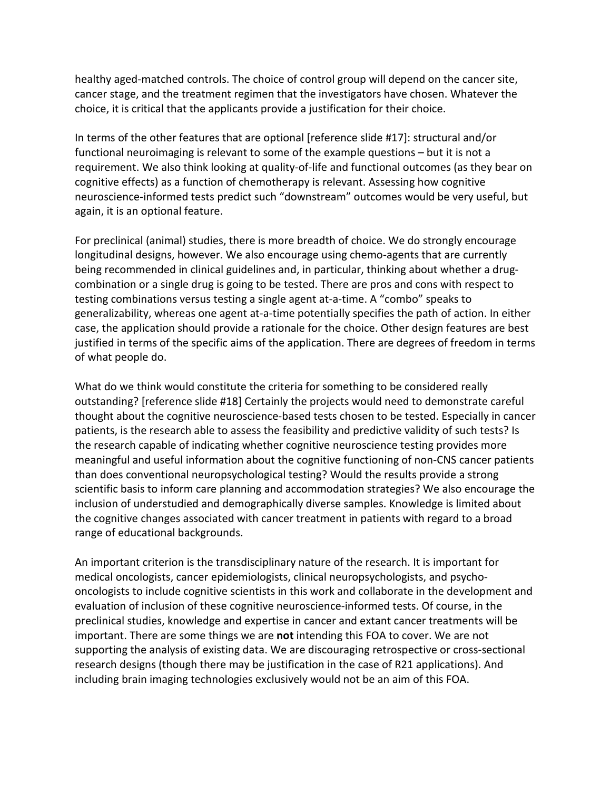healthy aged-matched controls. The choice of control group will depend on the cancer site, cancer stage, and the treatment regimen that the investigators have chosen. Whatever the choice, it is critical that the applicants provide a justification for their choice.

In terms of the other features that are optional [reference slide #17]: structural and/or functional neuroimaging is relevant to some of the example questions – but it is not a requirement. We also think looking at quality-of-life and functional outcomes (as they bear on cognitive effects) as a function of chemotherapy is relevant. Assessing how cognitive neuroscience-informed tests predict such "downstream" outcomes would be very useful, but again, it is an optional feature.

For preclinical (animal) studies, there is more breadth of choice. We do strongly encourage longitudinal designs, however. We also encourage using chemo-agents that are currently being recommended in clinical guidelines and, in particular, thinking about whether a drugcombination or a single drug is going to be tested. There are pros and cons with respect to testing combinations versus testing a single agent at-a-time. A "combo" speaks to generalizability, whereas one agent at-a-time potentially specifies the path of action. In either case, the application should provide a rationale for the choice. Other design features are best justified in terms of the specific aims of the application. There are degrees of freedom in terms of what people do.

What do we think would constitute the criteria for something to be considered really outstanding? [reference slide #18] Certainly the projects would need to demonstrate careful thought about the cognitive neuroscience-based tests chosen to be tested. Especially in cancer patients, is the research able to assess the feasibility and predictive validity of such tests? Is the research capable of indicating whether cognitive neuroscience testing provides more meaningful and useful information about the cognitive functioning of non-CNS cancer patients than does conventional neuropsychological testing? Would the results provide a strong scientific basis to inform care planning and accommodation strategies? We also encourage the inclusion of understudied and demographically diverse samples. Knowledge is limited about the cognitive changes associated with cancer treatment in patients with regard to a broad range of educational backgrounds.

An important criterion is the transdisciplinary nature of the research. It is important for medical oncologists, cancer epidemiologists, clinical neuropsychologists, and psychooncologists to include cognitive scientists in this work and collaborate in the development and evaluation of inclusion of these cognitive neuroscience-informed tests. Of course, in the preclinical studies, knowledge and expertise in cancer and extant cancer treatments will be important. There are some things we are **not** intending this FOA to cover. We are not supporting the analysis of existing data. We are discouraging retrospective or cross-sectional research designs (though there may be justification in the case of R21 applications). And including brain imaging technologies exclusively would not be an aim of this FOA.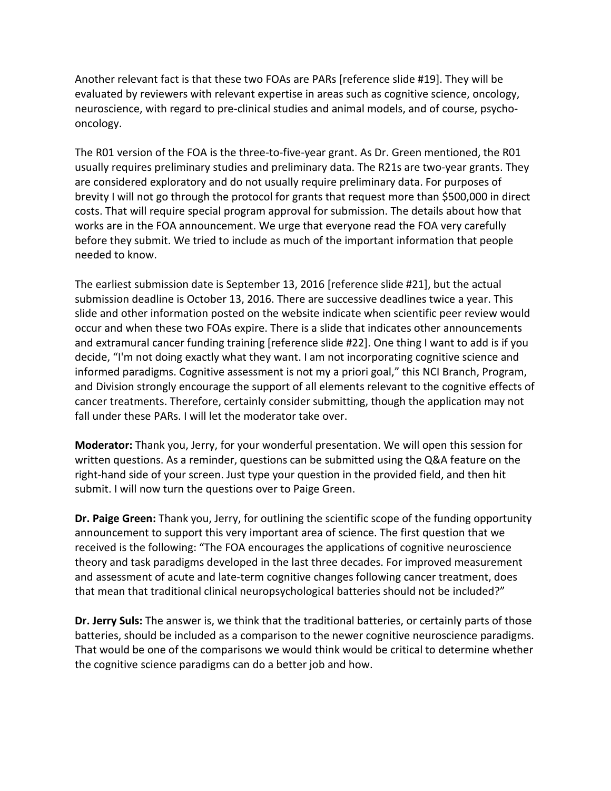Another relevant fact is that these two FOAs are PARs [reference slide #19]. They will be evaluated by reviewers with relevant expertise in areas such as cognitive science, oncology, neuroscience, with regard to pre-clinical studies and animal models, and of course, psychooncology.

The R01 version of the FOA is the three-to-five-year grant. As Dr. Green mentioned, the R01 usually requires preliminary studies and preliminary data. The R21s are two-year grants. They are considered exploratory and do not usually require preliminary data. For purposes of brevity I will not go through the protocol for grants that request more than \$500,000 in direct costs. That will require special program approval for submission. The details about how that works are in the FOA announcement. We urge that everyone read the FOA very carefully before they submit. We tried to include as much of the important information that people needed to know.

The earliest submission date is September 13, 2016 [reference slide #21], but the actual submission deadline is October 13, 2016. There are successive deadlines twice a year. This slide and other information posted on the website indicate when scientific peer review would occur and when these two FOAs expire. There is a slide that indicates other announcements and extramural cancer funding training [reference slide #22]. One thing I want to add is if you decide, "I'm not doing exactly what they want. I am not incorporating cognitive science and informed paradigms. Cognitive assessment is not my a priori goal," this NCI Branch, Program, and Division strongly encourage the support of all elements relevant to the cognitive effects of cancer treatments. Therefore, certainly consider submitting, though the application may not fall under these PARs. I will let the moderator take over.

**Moderator:** Thank you, Jerry, for your wonderful presentation. We will open this session for written questions. As a reminder, questions can be submitted using the Q&A feature on the right-hand side of your screen. Just type your question in the provided field, and then hit submit. I will now turn the questions over to Paige Green.

**Dr. Paige Green:** Thank you, Jerry, for outlining the scientific scope of the funding opportunity announcement to support this very important area of science. The first question that we received is the following: "The FOA encourages the applications of cognitive neuroscience theory and task paradigms developed in the last three decades. For improved measurement and assessment of acute and late-term cognitive changes following cancer treatment, does that mean that traditional clinical neuropsychological batteries should not be included?"

**Dr. Jerry Suls:** The answer is, we think that the traditional batteries, or certainly parts of those batteries, should be included as a comparison to the newer cognitive neuroscience paradigms. That would be one of the comparisons we would think would be critical to determine whether the cognitive science paradigms can do a better job and how.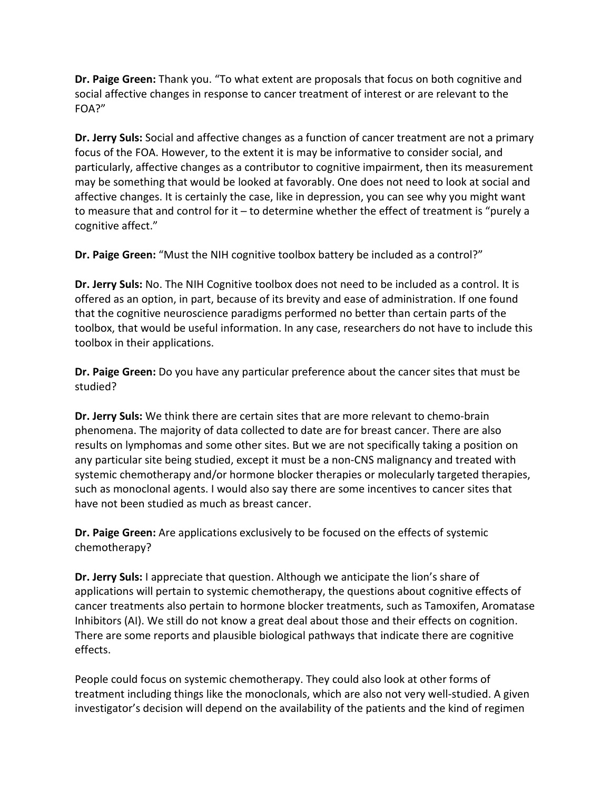**Dr. Paige Green:** Thank you. "To what extent are proposals that focus on both cognitive and social affective changes in response to cancer treatment of interest or are relevant to the FOA?"

**Dr. Jerry Suls:** Social and affective changes as a function of cancer treatment are not a primary focus of the FOA. However, to the extent it is may be informative to consider social, and particularly, affective changes as a contributor to cognitive impairment, then its measurement may be something that would be looked at favorably. One does not need to look at social and affective changes. It is certainly the case, like in depression, you can see why you might want to measure that and control for it – to determine whether the effect of treatment is "purely a cognitive affect."

**Dr. Paige Green:** "Must the NIH cognitive toolbox battery be included as a control?"

**Dr. Jerry Suls:** No. The NIH Cognitive toolbox does not need to be included as a control. It is offered as an option, in part, because of its brevity and ease of administration. If one found that the cognitive neuroscience paradigms performed no better than certain parts of the toolbox, that would be useful information. In any case, researchers do not have to include this toolbox in their applications.

**Dr. Paige Green:** Do you have any particular preference about the cancer sites that must be studied?

**Dr. Jerry Suls:** We think there are certain sites that are more relevant to chemo-brain phenomena. The majority of data collected to date are for breast cancer. There are also results on lymphomas and some other sites. But we are not specifically taking a position on any particular site being studied, except it must be a non-CNS malignancy and treated with systemic chemotherapy and/or hormone blocker therapies or molecularly targeted therapies, such as monoclonal agents. I would also say there are some incentives to cancer sites that have not been studied as much as breast cancer.

**Dr. Paige Green:** Are applications exclusively to be focused on the effects of systemic chemotherapy?

**Dr. Jerry Suls:** I appreciate that question. Although we anticipate the lion's share of applications will pertain to systemic chemotherapy, the questions about cognitive effects of cancer treatments also pertain to hormone blocker treatments, such as Tamoxifen, Aromatase Inhibitors (AI). We still do not know a great deal about those and their effects on cognition. There are some reports and plausible biological pathways that indicate there are cognitive effects.

People could focus on systemic chemotherapy. They could also look at other forms of treatment including things like the monoclonals, which are also not very well-studied. A given investigator's decision will depend on the availability of the patients and the kind of regimen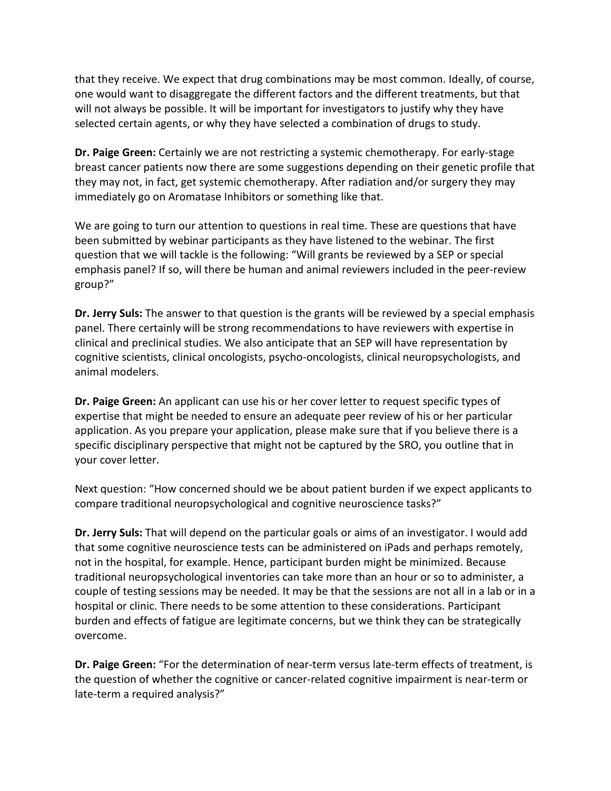that they receive. We expect that drug combinations may be most common. Ideally, of course, one would want to disaggregate the different factors and the different treatments, but that will not always be possible. It will be important for investigators to justify why they have selected certain agents, or why they have selected a combination of drugs to study.

**Dr. Paige Green:** Certainly we are not restricting a systemic chemotherapy. For early-stage breast cancer patients now there are some suggestions depending on their genetic profile that they may not, in fact, get systemic chemotherapy. After radiation and/or surgery they may immediately go on Aromatase Inhibitors or something like that.

We are going to turn our attention to questions in real time. These are questions that have been submitted by webinar participants as they have listened to the webinar. The first question that we will tackle is the following: "Will grants be reviewed by a SEP or special emphasis panel? If so, will there be human and animal reviewers included in the peer-review group?"

**Dr. Jerry Suls:** The answer to that question is the grants will be reviewed by a special emphasis panel. There certainly will be strong recommendations to have reviewers with expertise in clinical and preclinical studies. We also anticipate that an SEP will have representation by cognitive scientists, clinical oncologists, psycho-oncologists, clinical neuropsychologists, and animal modelers.

**Dr. Paige Green:** An applicant can use his or her cover letter to request specific types of expertise that might be needed to ensure an adequate peer review of his or her particular application. As you prepare your application, please make sure that if you believe there is a specific disciplinary perspective that might not be captured by the SRO, you outline that in your cover letter.

Next question: "How concerned should we be about patient burden if we expect applicants to compare traditional neuropsychological and cognitive neuroscience tasks?"

**Dr. Jerry Suls:** That will depend on the particular goals or aims of an investigator. I would add that some cognitive neuroscience tests can be administered on iPads and perhaps remotely, not in the hospital, for example. Hence, participant burden might be minimized. Because traditional neuropsychological inventories can take more than an hour or so to administer, a couple of testing sessions may be needed. It may be that the sessions are not all in a lab or in a hospital or clinic. There needs to be some attention to these considerations. Participant burden and effects of fatigue are legitimate concerns, but we think they can be strategically overcome.

**Dr. Paige Green:** "For the determination of near-term versus late-term effects of treatment, is the question of whether the cognitive or cancer-related cognitive impairment is near-term or late-term a required analysis?"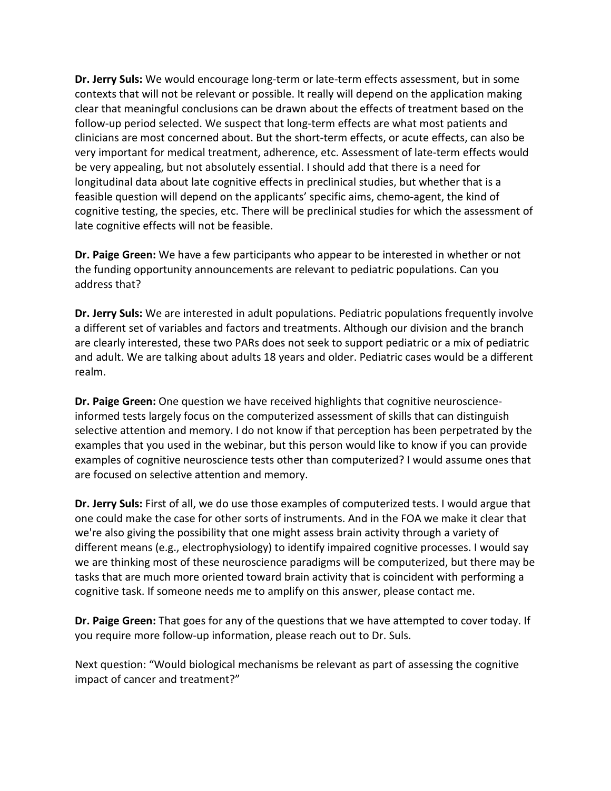**Dr. Jerry Suls:** We would encourage long-term or late-term effects assessment, but in some contexts that will not be relevant or possible. It really will depend on the application making clear that meaningful conclusions can be drawn about the effects of treatment based on the follow-up period selected. We suspect that long-term effects are what most patients and clinicians are most concerned about. But the short-term effects, or acute effects, can also be very important for medical treatment, adherence, etc. Assessment of late-term effects would be very appealing, but not absolutely essential. I should add that there is a need for longitudinal data about late cognitive effects in preclinical studies, but whether that is a feasible question will depend on the applicants' specific aims, chemo-agent, the kind of cognitive testing, the species, etc. There will be preclinical studies for which the assessment of late cognitive effects will not be feasible.

**Dr. Paige Green:** We have a few participants who appear to be interested in whether or not the funding opportunity announcements are relevant to pediatric populations. Can you address that?

**Dr. Jerry Suls:** We are interested in adult populations. Pediatric populations frequently involve a different set of variables and factors and treatments. Although our division and the branch are clearly interested, these two PARs does not seek to support pediatric or a mix of pediatric and adult. We are talking about adults 18 years and older. Pediatric cases would be a different realm.

**Dr. Paige Green:** One question we have received highlights that cognitive neuroscienceinformed tests largely focus on the computerized assessment of skills that can distinguish selective attention and memory. I do not know if that perception has been perpetrated by the examples that you used in the webinar, but this person would like to know if you can provide examples of cognitive neuroscience tests other than computerized? I would assume ones that are focused on selective attention and memory.

**Dr. Jerry Suls:** First of all, we do use those examples of computerized tests. I would argue that one could make the case for other sorts of instruments. And in the FOA we make it clear that we're also giving the possibility that one might assess brain activity through a variety of different means (e.g., electrophysiology) to identify impaired cognitive processes. I would say we are thinking most of these neuroscience paradigms will be computerized, but there may be tasks that are much more oriented toward brain activity that is coincident with performing a cognitive task. If someone needs me to amplify on this answer, please contact me.

**Dr. Paige Green:** That goes for any of the questions that we have attempted to cover today. If you require more follow-up information, please reach out to Dr. Suls.

Next question: "Would biological mechanisms be relevant as part of assessing the cognitive impact of cancer and treatment?"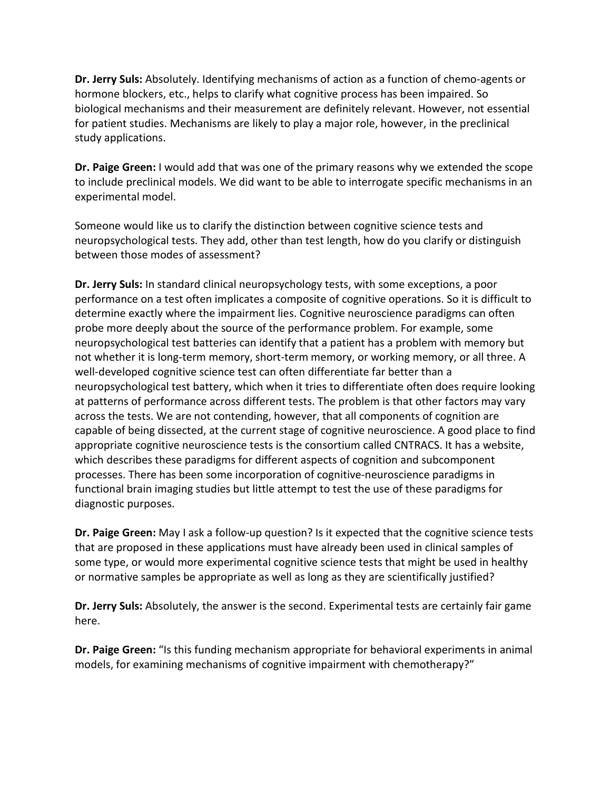**Dr. Jerry Suls:** Absolutely. Identifying mechanisms of action as a function of chemo-agents or hormone blockers, etc., helps to clarify what cognitive process has been impaired. So biological mechanisms and their measurement are definitely relevant. However, not essential for patient studies. Mechanisms are likely to play a major role, however, in the preclinical study applications.

**Dr. Paige Green:** I would add that was one of the primary reasons why we extended the scope to include preclinical models. We did want to be able to interrogate specific mechanisms in an experimental model.

Someone would like us to clarify the distinction between cognitive science tests and neuropsychological tests. They add, other than test length, how do you clarify or distinguish between those modes of assessment?

**Dr. Jerry Suls:** In standard clinical neuropsychology tests, with some exceptions, a poor performance on a test often implicates a composite of cognitive operations. So it is difficult to determine exactly where the impairment lies. Cognitive neuroscience paradigms can often probe more deeply about the source of the performance problem. For example, some neuropsychological test batteries can identify that a patient has a problem with memory but not whether it is long-term memory, short-term memory, or working memory, or all three. A well-developed cognitive science test can often differentiate far better than a neuropsychological test battery, which when it tries to differentiate often does require looking at patterns of performance across different tests. The problem is that other factors may vary across the tests. We are not contending, however, that all components of cognition are capable of being dissected, at the current stage of cognitive neuroscience. A good place to find appropriate cognitive neuroscience tests is the consortium called CNTRACS. It has a website, which describes these paradigms for different aspects of cognition and subcomponent processes. There has been some incorporation of cognitive-neuroscience paradigms in functional brain imaging studies but little attempt to test the use of these paradigms for diagnostic purposes.

**Dr. Paige Green:** May I ask a follow-up question? Is it expected that the cognitive science tests that are proposed in these applications must have already been used in clinical samples of some type, or would more experimental cognitive science tests that might be used in healthy or normative samples be appropriate as well as long as they are scientifically justified?

**Dr. Jerry Suls:** Absolutely, the answer is the second. Experimental tests are certainly fair game here.

**Dr. Paige Green:** "Is this funding mechanism appropriate for behavioral experiments in animal models, for examining mechanisms of cognitive impairment with chemotherapy?"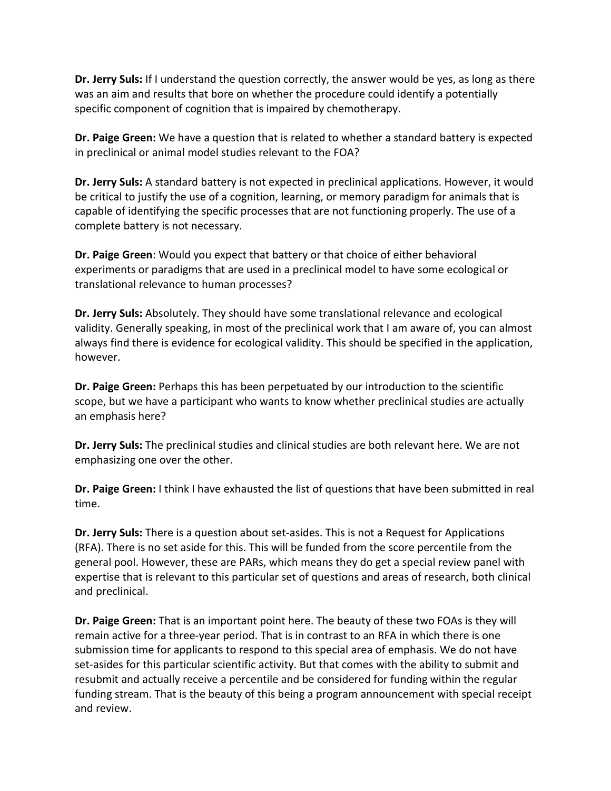**Dr. Jerry Suls:** If I understand the question correctly, the answer would be yes, as long as there was an aim and results that bore on whether the procedure could identify a potentially specific component of cognition that is impaired by chemotherapy.

**Dr. Paige Green:** We have a question that is related to whether a standard battery is expected in preclinical or animal model studies relevant to the FOA?

**Dr. Jerry Suls:** A standard battery is not expected in preclinical applications. However, it would be critical to justify the use of a cognition, learning, or memory paradigm for animals that is capable of identifying the specific processes that are not functioning properly. The use of a complete battery is not necessary.

**Dr. Paige Green**: Would you expect that battery or that choice of either behavioral experiments or paradigms that are used in a preclinical model to have some ecological or translational relevance to human processes?

**Dr. Jerry Suls:** Absolutely. They should have some translational relevance and ecological validity. Generally speaking, in most of the preclinical work that I am aware of, you can almost always find there is evidence for ecological validity. This should be specified in the application, however.

**Dr. Paige Green:** Perhaps this has been perpetuated by our introduction to the scientific scope, but we have a participant who wants to know whether preclinical studies are actually an emphasis here?

**Dr. Jerry Suls:** The preclinical studies and clinical studies are both relevant here. We are not emphasizing one over the other.

**Dr. Paige Green:** I think I have exhausted the list of questions that have been submitted in real time.

**Dr. Jerry Suls:** There is a question about set-asides. This is not a Request for Applications (RFA). There is no set aside for this. This will be funded from the score percentile from the general pool. However, these are PARs, which means they do get a special review panel with expertise that is relevant to this particular set of questions and areas of research, both clinical and preclinical.

**Dr. Paige Green:** That is an important point here. The beauty of these two FOAs is they will remain active for a three-year period. That is in contrast to an RFA in which there is one submission time for applicants to respond to this special area of emphasis. We do not have set-asides for this particular scientific activity. But that comes with the ability to submit and resubmit and actually receive a percentile and be considered for funding within the regular funding stream. That is the beauty of this being a program announcement with special receipt and review.